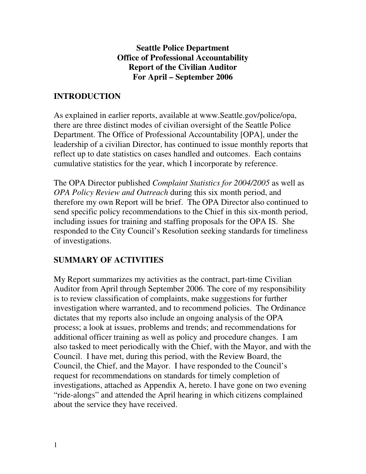#### **Seattle Police Department Office of Professional Accountability Report of the Civilian Auditor For April – September 2006**

## **INTRODUCTION**

As explained in earlier reports, available at www.Seattle.gov/police/opa, there are three distinct modes of civilian oversight of the Seattle Police Department. The Office of Professional Accountability [OPA], under the leadership of a civilian Director, has continued to issue monthly reports that reflect up to date statistics on cases handled and outcomes. Each contains cumulative statistics for the year, which I incorporate by reference.

The OPA Director published *Complaint Statistics for 2004/2005* as well as *OPA Policy Review and Outreach* during this six month period, and therefore my own Report will be brief. The OPA Director also continued to send specific policy recommendations to the Chief in this six-month period, including issues for training and staffing proposals for the OPA IS. She responded to the City Council's Resolution seeking standards for timeliness of investigations.

## **SUMMARY OF ACTIVITIES**

My Report summarizes my activities as the contract, part-time Civilian Auditor from April through September 2006. The core of my responsibility is to review classification of complaints, make suggestions for further investigation where warranted, and to recommend policies. The Ordinance dictates that my reports also include an ongoing analysis of the OPA process; a look at issues, problems and trends; and recommendations for additional officer training as well as policy and procedure changes. I am also tasked to meet periodically with the Chief, with the Mayor, and with the Council. I have met, during this period, with the Review Board, the Council, the Chief, and the Mayor. I have responded to the Council's request for recommendations on standards for timely completion of investigations, attached as Appendix A, hereto. I have gone on two evening "ride-alongs" and attended the April hearing in which citizens complained about the service they have received.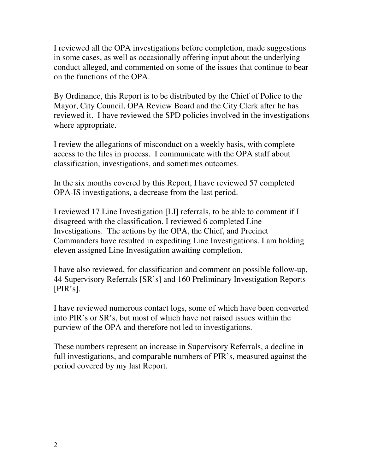I reviewed all the OPA investigations before completion, made suggestions in some cases, as well as occasionally offering input about the underlying conduct alleged, and commented on some of the issues that continue to bear on the functions of the OPA.

By Ordinance, this Report is to be distributed by the Chief of Police to the Mayor, City Council, OPA Review Board and the City Clerk after he has reviewed it. I have reviewed the SPD policies involved in the investigations where appropriate.

I review the allegations of misconduct on a weekly basis, with complete access to the files in process. I communicate with the OPA staff about classification, investigations, and sometimes outcomes.

In the six months covered by this Report, I have reviewed 57 completed OPA-IS investigations, a decrease from the last period.

I reviewed 17 Line Investigation [LI] referrals, to be able to comment if I disagreed with the classification. I reviewed 6 completed Line Investigations. The actions by the OPA, the Chief, and Precinct Commanders have resulted in expediting Line Investigations. I am holding eleven assigned Line Investigation awaiting completion.

I have also reviewed, for classification and comment on possible follow-up, 44 Supervisory Referrals [SR's] and 160 Preliminary Investigation Reports [PIR's].

I have reviewed numerous contact logs, some of which have been converted into PIR's or SR's, but most of which have not raised issues within the purview of the OPA and therefore not led to investigations.

These numbers represent an increase in Supervisory Referrals, a decline in full investigations, and comparable numbers of PIR's, measured against the period covered by my last Report.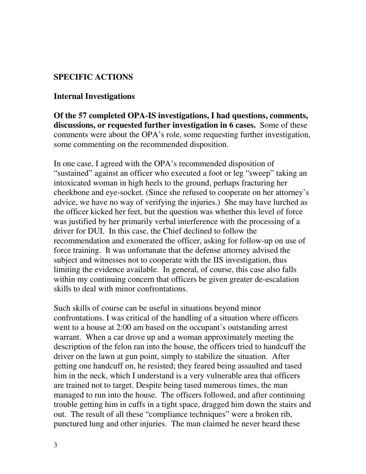### **SPECIFIC ACTIONS**

#### **Internal Investigations**

**Of the 57 completed OPA-IS investigations, I had questions, comments, discussions, or requested further investigation in 6 cases.** Some of these comments were about the OPA's role, some requesting further investigation, some commenting on the recommended disposition.

In one case, I agreed with the OPA's recommended disposition of "sustained" against an officer who executed a foot or leg "sweep" taking an intoxicated woman in high heels to the ground, perhaps fracturing her cheekbone and eye-socket. (Since she refused to cooperate on her attorney's advice, we have no way of verifying the injuries.) She may have lurched as the officer kicked her feet, but the question was whether this level of force was justified by her primarily verbal interference with the processing of a driver for DUI. In this case, the Chief declined to follow the recommendation and exonerated the officer, asking for follow-up on use of force training. It was unfortunate that the defense attorney advised the subject and witnesses not to cooperate with the IIS investigation, thus limiting the evidence available. In general, of course, this case also falls within my continuing concern that officers be given greater de-escalation skills to deal with minor confrontations.

Such skills of course can be useful in situations beyond minor confrontations. I was critical of the handling of a situation where officers went to a house at 2:00 am based on the occupant's outstanding arrest warrant. When a car drove up and a woman approximately meeting the description of the felon ran into the house, the officers tried to handcuff the driver on the lawn at gun point, simply to stabilize the situation. After getting one handcuff on, he resisted; they feared being assaulted and tased him in the neck, which I understand is a very vulnerable area that officers are trained not to target. Despite being tased numerous times, the man managed to run into the house. The officers followed, and after continuing trouble getting him in cuffs in a tight space, dragged him down the stairs and out. The result of all these "compliance techniques" were a broken rib, punctured lung and other injuries. The man claimed he never heard these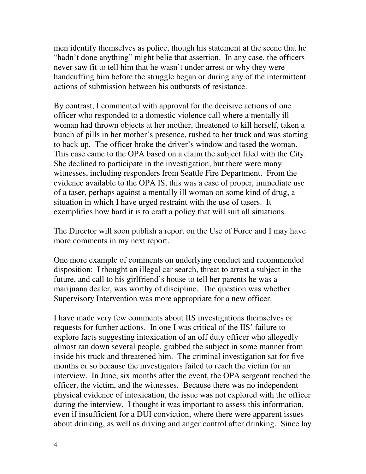men identify themselves as police, though his statement at the scene that he "hadn't done anything" might belie that assertion. In any case, the officers never saw fit to tell him that he wasn't under arrest or why they were handcuffing him before the struggle began or during any of the intermittent actions of submission between his outbursts of resistance.

By contrast, I commented with approval for the decisive actions of one officer who responded to a domestic violence call where a mentally ill woman had thrown objects at her mother, threatened to kill herself, taken a bunch of pills in her mother's presence, rushed to her truck and was starting to back up. The officer broke the driver's window and tased the woman. This case came to the OPA based on a claim the subject filed with the City. She declined to participate in the investigation, but there were many witnesses, including responders from Seattle Fire Department. From the evidence available to the OPA IS, this was a case of proper, immediate use of a taser, perhaps against a mentally ill woman on some kind of drug, a situation in which I have urged restraint with the use of tasers. It exemplifies how hard it is to craft a policy that will suit all situations.

The Director will soon publish a report on the Use of Force and I may have more comments in my next report.

One more example of comments on underlying conduct and recommended disposition: I thought an illegal car search, threat to arrest a subject in the future, and call to his girlfriend's house to tell her parents he was a marijuana dealer, was worthy of discipline. The question was whether Supervisory Intervention was more appropriate for a new officer.

I have made very few comments about IIS investigations themselves or requests for further actions. In one I was critical of the IIS' failure to explore facts suggesting intoxication of an off duty officer who allegedly almost ran down several people, grabbed the subject in some manner from inside his truck and threatened him. The criminal investigation sat for five months or so because the investigators failed to reach the victim for an interview. In June, six months after the event, the OPA sergeant reached the officer, the victim, and the witnesses. Because there was no independent physical evidence of intoxication, the issue was not explored with the officer during the interview. I thought it was important to assess this information, even if insufficient for a DUI conviction, where there were apparent issues about drinking, as well as driving and anger control after drinking. Since lay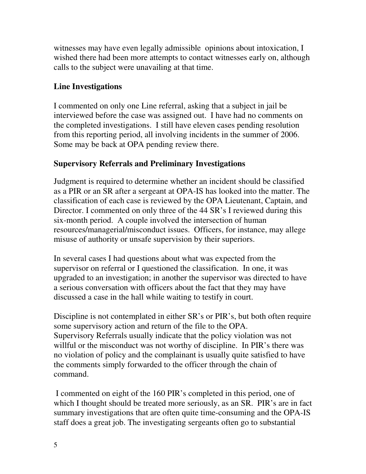witnesses may have even legally admissible opinions about intoxication, I wished there had been more attempts to contact witnesses early on, although calls to the subject were unavailing at that time.

## **Line Investigations**

I commented on only one Line referral, asking that a subject in jail be interviewed before the case was assigned out. I have had no comments on the completed investigations. I still have eleven cases pending resolution from this reporting period, all involving incidents in the summer of 2006. Some may be back at OPA pending review there.

## **Supervisory Referrals and Preliminary Investigations**

Judgment is required to determine whether an incident should be classified as a PIR or an SR after a sergeant at OPA-IS has looked into the matter. The classification of each case is reviewed by the OPA Lieutenant, Captain, and Director. I commented on only three of the 44 SR's I reviewed during this six-month period. A couple involved the intersection of human resources/managerial/misconduct issues. Officers, for instance, may allege misuse of authority or unsafe supervision by their superiors.

In several cases I had questions about what was expected from the supervisor on referral or I questioned the classification. In one, it was upgraded to an investigation; in another the supervisor was directed to have a serious conversation with officers about the fact that they may have discussed a case in the hall while waiting to testify in court.

Discipline is not contemplated in either SR's or PIR's, but both often require some supervisory action and return of the file to the OPA. Supervisory Referrals usually indicate that the policy violation was not willful or the misconduct was not worthy of discipline. In PIR's there was no violation of policy and the complainant is usually quite satisfied to have the comments simply forwarded to the officer through the chain of command.

I commented on eight of the 160 PIR's completed in this period, one of which I thought should be treated more seriously, as an SR. PIR's are in fact summary investigations that are often quite time-consuming and the OPA-IS staff does a great job. The investigating sergeants often go to substantial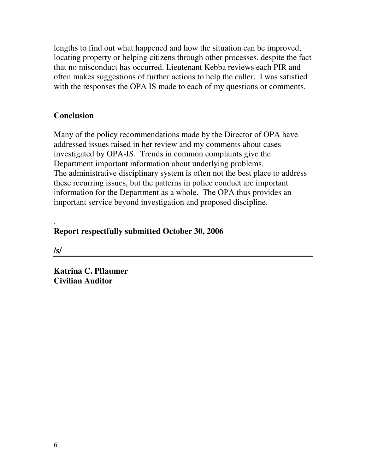lengths to find out what happened and how the situation can be improved, locating property or helping citizens through other processes, despite the fact that no misconduct has occurred. Lieutenant Kebba reviews each PIR and often makes suggestions of further actions to help the caller. I was satisfied with the responses the OPA IS made to each of my questions or comments.

### **Conclusion**

Many of the policy recommendations made by the Director of OPA have addressed issues raised in her review and my comments about cases investigated by OPA-IS. Trends in common complaints give the Department important information about underlying problems. The administrative disciplinary system is often not the best place to address these recurring issues, but the patterns in police conduct are important information for the Department as a whole. The OPA thus provides an important service beyond investigation and proposed discipline.

#### . **Report respectfully submitted October 30, 2006**

**/s/**

**Katrina C. Pflaumer Civilian Auditor**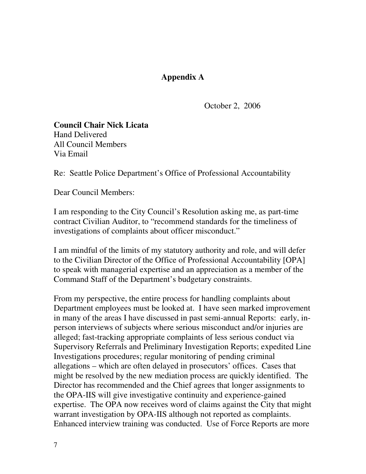### **Appendix A**

October 2, 2006

**Council Chair Nick Licata** Hand Delivered All Council Members Via Email

Re: Seattle Police Department's Office of Professional Accountability

Dear Council Members:

I am responding to the City Council's Resolution asking me, as part-time contract Civilian Auditor, to "recommend standards for the timeliness of investigations of complaints about officer misconduct."

I am mindful of the limits of my statutory authority and role, and will defer to the Civilian Director of the Office of Professional Accountability [OPA] to speak with managerial expertise and an appreciation as a member of the Command Staff of the Department's budgetary constraints.

From my perspective, the entire process for handling complaints about Department employees must be looked at. I have seen marked improvement in many of the areas I have discussed in past semi-annual Reports: early, inperson interviews of subjects where serious misconduct and/or injuries are alleged; fast-tracking appropriate complaints of less serious conduct via Supervisory Referrals and Preliminary Investigation Reports; expedited Line Investigations procedures; regular monitoring of pending criminal allegations – which are often delayed in prosecutors' offices. Cases that might be resolved by the new mediation process are quickly identified. The Director has recommended and the Chief agrees that longer assignments to the OPA-IIS will give investigative continuity and experience-gained expertise. The OPA now receives word of claims against the City that might warrant investigation by OPA-IIS although not reported as complaints. Enhanced interview training was conducted. Use of Force Reports are more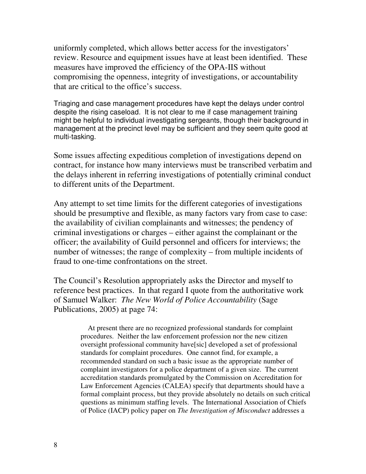uniformly completed, which allows better access for the investigators' review. Resource and equipment issues have at least been identified. These measures have improved the efficiency of the OPA-IIS without compromising the openness, integrity of investigations, or accountability that are critical to the office's success.

Triaging and case management procedures have kept the delays under control despite the rising caseload. It is not clear to me if case management training might be helpful to individual investigating sergeants, though their background in management at the precinct level may be sufficient and they seem quite good at multi-tasking.

Some issues affecting expeditious completion of investigations depend on contract, for instance how many interviews must be transcribed verbatim and the delays inherent in referring investigations of potentially criminal conduct to different units of the Department.

Any attempt to set time limits for the different categories of investigations should be presumptive and flexible, as many factors vary from case to case: the availability of civilian complainants and witnesses; the pendency of criminal investigations or charges – either against the complainant or the officer; the availability of Guild personnel and officers for interviews; the number of witnesses; the range of complexity – from multiple incidents of fraud to one-time confrontations on the street.

The Council's Resolution appropriately asks the Director and myself to reference best practices. In that regard I quote from the authoritative work of Samuel Walker: *The New World of Police Accountability* (Sage Publications, 2005) at page 74:

> At present there are no recognized professional standards for complaint procedures. Neither the law enforcement profession nor the new citizen oversight professional community have[sic] developed a set of professional standards for complaint procedures. One cannot find, for example, a recommended standard on such a basic issue as the appropriate number of complaint investigators for a police department of a given size. The current accreditation standards promulgated by the Commission on Accreditation for Law Enforcement Agencies (CALEA) specify that departments should have a formal complaint process, but they provide absolutely no details on such critical questions as minimum staffing levels. The International Association of Chiefs of Police (IACP) policy paper on *The Investigation of Misconduct* addresses a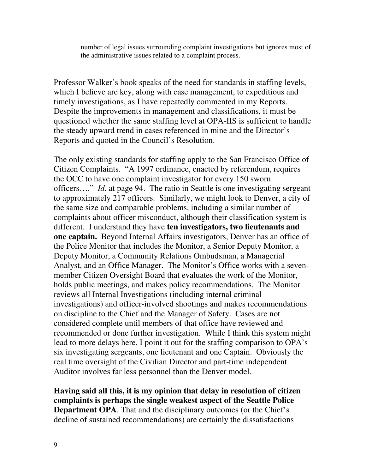number of legal issues surrounding complaint investigations but ignores most of the administrative issues related to a complaint process.

Professor Walker's book speaks of the need for standards in staffing levels, which I believe are key, along with case management, to expeditious and timely investigations, as I have repeatedly commented in my Reports. Despite the improvements in management and classifications, it must be questioned whether the same staffing level at OPA-IIS is sufficient to handle the steady upward trend in cases referenced in mine and the Director's Reports and quoted in the Council's Resolution.

The only existing standards for staffing apply to the San Francisco Office of Citizen Complaints. "A 1997 ordinance, enacted by referendum, requires the OCC to have one complaint investigator for every 150 sworn officers…." *Id.* at page 94. The ratio in Seattle is one investigating sergeant to approximately 217 officers. Similarly, we might look to Denver, a city of the same size and comparable problems, including a similar number of complaints about officer misconduct, although their classification system is different. I understand they have **ten investigators, two lieutenants and one captain.** Beyond Internal Affairs investigators, Denver has an office of the Police Monitor that includes the Monitor, a Senior Deputy Monitor, a Deputy Monitor, a Community Relations Ombudsman, a Managerial Analyst, and an Office Manager. The Monitor's Office works with a sevenmember Citizen Oversight Board that evaluates the work of the Monitor, holds public meetings, and makes policy recommendations. The Monitor reviews all Internal Investigations (including internal criminal investigations) and officer-involved shootings and makes recommendations on discipline to the Chief and the Manager of Safety. Cases are not considered complete until members of that office have reviewed and recommended or done further investigation. While I think this system might lead to more delays here, I point it out for the staffing comparison to OPA's six investigating sergeants, one lieutenant and one Captain. Obviously the real time oversight of the Civilian Director and part-time independent Auditor involves far less personnel than the Denver model.

**Having said all this, it is my opinion that delay in resolution of citizen complaints is perhaps the single weakest aspect of the Seattle Police Department OPA**. That and the disciplinary outcomes (or the Chief's decline of sustained recommendations) are certainly the dissatisfactions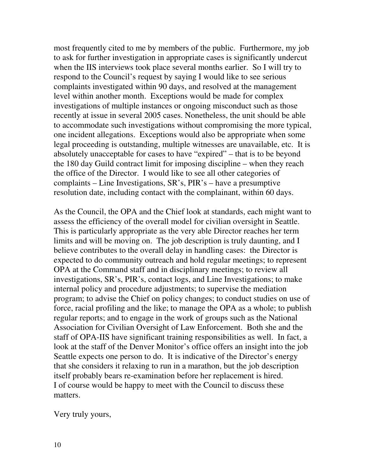most frequently cited to me by members of the public. Furthermore, my job to ask for further investigation in appropriate cases is significantly undercut when the IIS interviews took place several months earlier. So I will try to respond to the Council's request by saying I would like to see serious complaints investigated within 90 days, and resolved at the management level within another month. Exceptions would be made for complex investigations of multiple instances or ongoing misconduct such as those recently at issue in several 2005 cases. Nonetheless, the unit should be able to accommodate such investigations without compromising the more typical, one incident allegations. Exceptions would also be appropriate when some legal proceeding is outstanding, multiple witnesses are unavailable, etc. It is absolutely unacceptable for cases to have "expired" – that is to be beyond the 180 day Guild contract limit for imposing discipline – when they reach the office of the Director. I would like to see all other categories of complaints – Line Investigations, SR's, PIR's – have a presumptive resolution date, including contact with the complainant, within 60 days.

As the Council, the OPA and the Chief look at standards, each might want to assess the efficiency of the overall model for civilian oversight in Seattle. This is particularly appropriate as the very able Director reaches her term limits and will be moving on. The job description is truly daunting, and I believe contributes to the overall delay in handling cases: the Director is expected to do community outreach and hold regular meetings; to represent OPA at the Command staff and in disciplinary meetings; to review all investigations, SR's, PIR's, contact logs, and Line Investigations; to make internal policy and procedure adjustments; to supervise the mediation program; to advise the Chief on policy changes; to conduct studies on use of force, racial profiling and the like; to manage the OPA as a whole; to publish regular reports; and to engage in the work of groups such as the National Association for Civilian Oversight of Law Enforcement. Both she and the staff of OPA-IIS have significant training responsibilities as well. In fact, a look at the staff of the Denver Monitor's office offers an insight into the job Seattle expects one person to do. It is indicative of the Director's energy that she considers it relaxing to run in a marathon, but the job description itself probably bears re-examination before her replacement is hired. I of course would be happy to meet with the Council to discuss these matters.

Very truly yours,